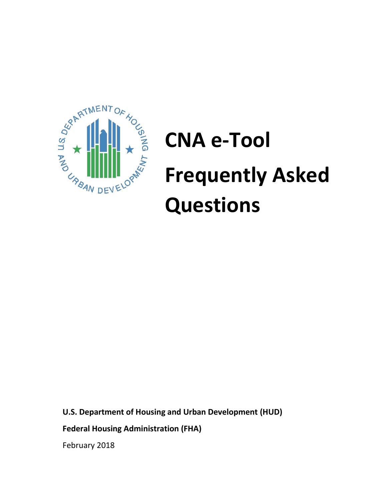

# **CNA e-Tool Frequently Asked Questions**

**U.S. Department of Housing and Urban Development (HUD)**

**Federal Housing Administration (FHA)**

February 2018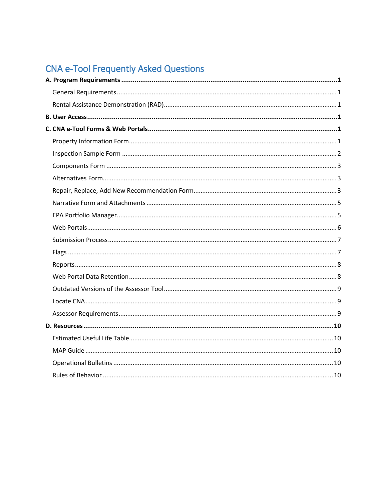# CNA e-Tool Frequently Asked Questions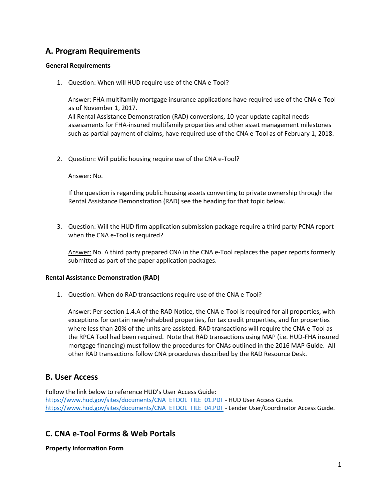# <span id="page-2-0"></span>**A. Program Requirements**

#### <span id="page-2-1"></span>**General Requirements**

1. Question: When will HUD require use of the CNA e-Tool?

Answer: FHA multifamily mortgage insurance applications have required use of the CNA e-Tool as of November 1, 2017.

All Rental Assistance Demonstration (RAD) conversions, 10-year update capital needs assessments for FHA-insured multifamily properties and other asset management milestones such as partial payment of claims, have required use of the CNA e-Tool as of February 1, 2018.

2. Question: Will public housing require use of the CNA e-Tool?

#### Answer: No.

If the question is regarding public housing assets converting to private ownership through the Rental Assistance Demonstration (RAD) see the heading for that topic below.

3. Question: Will the HUD firm application submission package require a third party PCNA report when the CNA e-Tool is required?

Answer: No. A third party prepared CNA in the CNA e-Tool replaces the paper reports formerly submitted as part of the paper application packages.

#### <span id="page-2-2"></span>**Rental Assistance Demonstration (RAD)**

1. Question: When do RAD transactions require use of the CNA e-Tool?

Answer: Per section 1.4.A of the RAD Notice, the CNA e-Tool is required for all properties, with exceptions for certain new/rehabbed properties, for tax credit properties, and for properties where less than 20% of the units are assisted. RAD transactions will require the CNA e-Tool as the RPCA Tool had been required. Note that RAD transactions using MAP (i.e. HUD-FHA insured mortgage financing) must follow the procedures for CNAs outlined in the 2016 MAP Guide. All other RAD transactions follow CNA procedures described by the RAD Resource Desk.

### <span id="page-2-3"></span>**B. User Access**

Follow the link below to reference HUD's User Access Guide: [https://www.hud.gov/sites/documents/CNA\\_ETOOL\\_FILE\\_01.PDF](https://www.hud.gov/sites/documents/CNA_ETOOL_FILE_01.PDF) - HUD User Access Guide. [https://www.hud.gov/sites/documents/CNA\\_ETOOL\\_FILE\\_04.PDF](https://www.hud.gov/sites/documents/CNA_ETOOL_FILE_04.PDF) - Lender User/Coordinator Access Guide.

# <span id="page-2-4"></span>**C. CNA e-Tool Forms & Web Portals**

<span id="page-2-5"></span>**Property Information Form**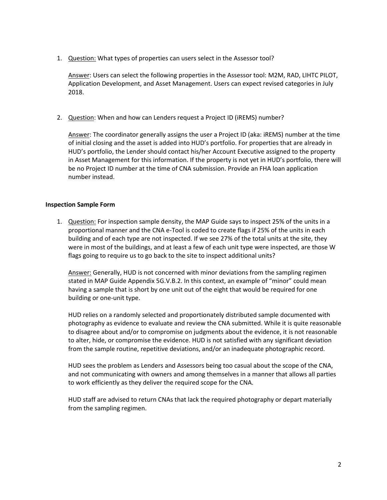1. Question: What types of properties can users select in the Assessor tool?

Answer: Users can select the following properties in the Assessor tool: M2M, RAD, LIHTC PILOT, Application Development, and Asset Management. Users can expect revised categories in July 2018.

2. Question: When and how can Lenders request a Project ID (iREMS) number?

Answer: The coordinator generally assigns the user a Project ID (aka: iREMS) number at the time of initial closing and the asset is added into HUD's portfolio. For properties that are already in HUD's portfolio, the Lender should contact his/her Account Executive assigned to the property in Asset Management for this information. If the property is not yet in HUD's portfolio, there will be no Project ID number at the time of CNA submission. Provide an FHA loan application number instead.

#### <span id="page-3-0"></span>**Inspection Sample Form**

1. Question: For inspection sample density, the MAP Guide says to inspect 25% of the units in a proportional manner and the CNA e-Tool is coded to create flags if 25% of the units in each building and of each type are not inspected. If we see 27% of the total units at the site, they were in most of the buildings, and at least a few of each unit type were inspected, are those W flags going to require us to go back to the site to inspect additional units?

Answer: Generally, HUD is not concerned with minor deviations from the sampling regimen stated in MAP Guide Appendix 5G.V.B.2. In this context, an example of "minor" could mean having a sample that is short by one unit out of the eight that would be required for one building or one-unit type.

HUD relies on a randomly selected and proportionately distributed sample documented with photography as evidence to evaluate and review the CNA submitted. While it is quite reasonable to disagree about and/or to compromise on judgments about the evidence, it is not reasonable to alter, hide, or compromise the evidence. HUD is not satisfied with any significant deviation from the sample routine, repetitive deviations, and/or an inadequate photographic record.

HUD sees the problem as Lenders and Assessors being too casual about the scope of the CNA, and not communicating with owners and among themselves in a manner that allows all parties to work efficiently as they deliver the required scope for the CNA.

HUD staff are advised to return CNAs that lack the required photography or depart materially from the sampling regimen.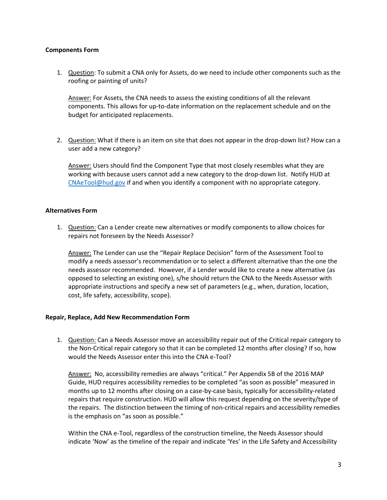#### <span id="page-4-0"></span>**Components Form**

1. Question: To submit a CNA only for Assets, do we need to include other components such as the roofing or painting of units?

Answer: For Assets, the CNA needs to assess the existing conditions of all the relevant components. This allows for up-to-date information on the replacement schedule and on the budget for anticipated replacements.

2. Question: What if there is an item on site that does not appear in the drop-down list? How can a user add a new category?

Answer: Users should find the Component Type that most closely resembles what they are working with because users cannot add a new category to the drop-down list. Notify HUD at [CNAeTool@hud.gov](mailto:CNAeTool@hud.gov) if and when you identify a component with no appropriate category.

#### <span id="page-4-1"></span>**Alternatives Form**

1. Question: Can a Lender create new alternatives or modify components to allow choices for repairs not foreseen by the Needs Assessor?

Answer: The Lender can use the "Repair Replace Decision" form of the Assessment Tool to modify a needs assessor's recommendation or to select a different alternative than the one the needs assessor recommended. However, if a Lender would like to create a new alternative (as opposed to selecting an existing one), s/he should return the CNA to the Needs Assessor with appropriate instructions and specify a new set of parameters (e.g., when, duration, location, cost, life safety, accessibility, scope).

#### <span id="page-4-2"></span>**Repair, Replace, Add New Recommendation Form**

1. Question: Can a Needs Assessor move an accessibility repair out of the Critical repair category to the Non-Critical repair category so that it can be completed 12 months after closing? If so, how would the Needs Assessor enter this into the CNA e-Tool?

Answer: No, accessibility remedies are always "critical." Per Appendix 5B of the 2016 MAP Guide, HUD requires accessibility remedies to be completed "as soon as possible" measured in months up to 12 months after closing on a case-by-case basis, typically for accessibility-related repairs that require construction. HUD will allow this request depending on the severity/type of the repairs. The distinction between the timing of non-critical repairs and accessibility remedies is the emphasis on "as soon as possible."

Within the CNA e-Tool, regardless of the construction timeline, the Needs Assessor should indicate 'Now' as the timeline of the repair and indicate 'Yes' in the Life Safety and Accessibility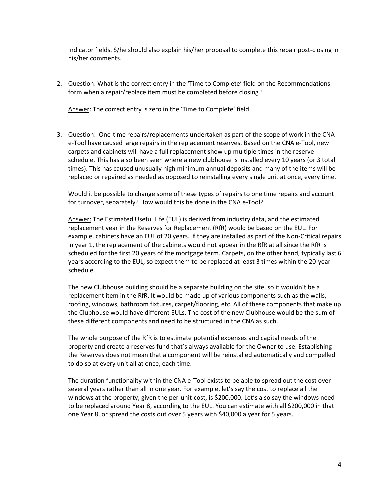Indicator fields. S/he should also explain his/her proposal to complete this repair post-closing in his/her comments.

2. Question: What is the correct entry in the 'Time to Complete' field on the Recommendations form when a repair/replace item must be completed before closing?

Answer: The correct entry is zero in the 'Time to Complete' field.

3. Question: One-time repairs/replacements undertaken as part of the scope of work in the CNA e-Tool have caused large repairs in the replacement reserves. Based on the CNA e-Tool, new carpets and cabinets will have a full replacement show up multiple times in the reserve schedule. This has also been seen where a new clubhouse is installed every 10 years (or 3 total times). This has caused unusually high minimum annual deposits and many of the items will be replaced or repaired as needed as opposed to reinstalling every single unit at once, every time.

Would it be possible to change some of these types of repairs to one time repairs and account for turnover, separately? How would this be done in the CNA e-Tool?

Answer: The Estimated Useful Life (EUL) is derived from industry data, and the estimated replacement year in the Reserves for Replacement (RfR) would be based on the EUL. For example, cabinets have an EUL of 20 years. If they are installed as part of the Non-Critical repairs in year 1, the replacement of the cabinets would not appear in the RfR at all since the RfR is scheduled for the first 20 years of the mortgage term. Carpets, on the other hand, typically last 6 years according to the EUL, so expect them to be replaced at least 3 times within the 20-year schedule.

The new Clubhouse building should be a separate building on the site, so it wouldn't be a replacement item in the RfR. It would be made up of various components such as the walls, roofing, windows, bathroom fixtures, carpet/flooring, etc. All of these components that make up the Clubhouse would have different EULs. The cost of the new Clubhouse would be the sum of these different components and need to be structured in the CNA as such.

The whole purpose of the RfR is to estimate potential expenses and capital needs of the property and create a reserves fund that's always available for the Owner to use. Establishing the Reserves does not mean that a component will be reinstalled automatically and compelled to do so at every unit all at once, each time.

<span id="page-5-0"></span>The duration functionality within the CNA e-Tool exists to be able to spread out the cost over several years rather than all in one year. For example, let's say the cost to replace all the windows at the property, given the per-unit cost, is \$200,000. Let's also say the windows need to be replaced around Year 8, according to the EUL. You can estimate with all \$200,000 in that one Year 8, or spread the costs out over 5 years with \$40,000 a year for 5 years.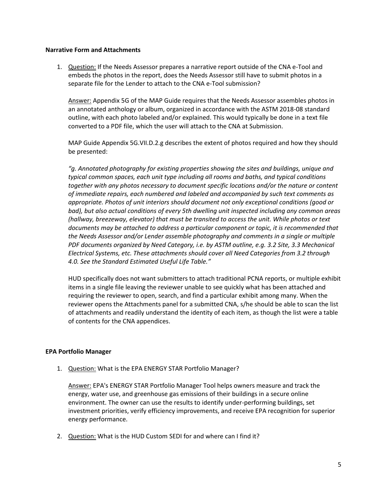#### **Narrative Form and Attachments**

1. Question: If the Needs Assessor prepares a narrative report outside of the CNA e-Tool and embeds the photos in the report, does the Needs Assessor still have to submit photos in a separate file for the Lender to attach to the CNA e-Tool submission?

Answer: Appendix 5G of the MAP Guide requires that the Needs Assessor assembles photos in an annotated anthology or album, organized in accordance with the ASTM 2018-08 standard outline, with each photo labeled and/or explained. This would typically be done in a text file converted to a PDF file, which the user will attach to the CNA at Submission.

MAP Guide Appendix 5G.VII.D.2.g describes the extent of photos required and how they should be presented:

*"g. Annotated photography for existing properties showing the sites and buildings, unique and typical common spaces, each unit type including all rooms and baths, and typical conditions together with any photos necessary to document specific locations and/or the nature or content of immediate repairs, each numbered and labeled and accompanied by such text comments as appropriate. Photos of unit interiors should document not only exceptional conditions (good or bad), but also actual conditions of every 5th dwelling unit inspected including any common areas (hallway, breezeway, elevator) that must be transited to access the unit. While photos or text documents may be attached to address a particular component or topic, it is recommended that the Needs Assessor and/or Lender assemble photography and comments in a single or multiple PDF documents organized by Need Category, i.e. by ASTM outline, e.g. 3.2 Site, 3.3 Mechanical Electrical Systems, etc. These attachments should cover all Need Categories from 3.2 through 4.0. See the Standard Estimated Useful Life Table."*

HUD specifically does not want submitters to attach traditional PCNA reports, or multiple exhibit items in a single file leaving the reviewer unable to see quickly what has been attached and requiring the reviewer to open, search, and find a particular exhibit among many. When the reviewer opens the Attachments panel for a submitted CNA, s/he should be able to scan the list of attachments and readily understand the identity of each item, as though the list were a table of contents for the CNA appendices.

#### <span id="page-6-0"></span>**EPA Portfolio Manager**

1. Question: What is the EPA ENERGY STAR Portfolio Manager?

Answer: EPA's ENERGY STAR Portfolio Manager Tool helps owners measure and track the energy, water use, and greenhouse gas emissions of their buildings in a secure online environment. The owner can use the results to identify under-performing buildings, set investment priorities, verify efficiency improvements, and receive EPA recognition for superior energy performance.

2. Question: What is the HUD Custom SEDI for and where can I find it?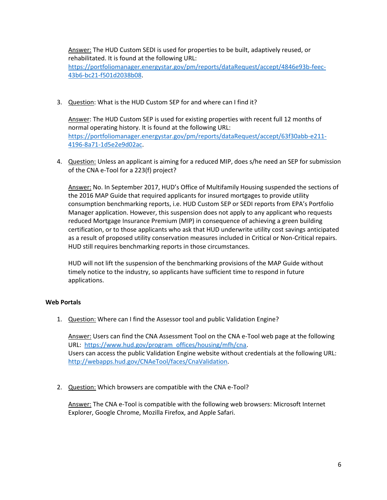Answer: The HUD Custom SEDI is used for properties to be built, adaptively reused, or rehabilitated. It is found at the following URL: [https://portfoliomanager.energystar.gov/pm/reports/dataRequest/accept/4846e93b-feec-](https://portfoliomanager.energystar.gov/pm/reports/dataRequest/accept/4846e93b-feec-43b6-bc21-f501d2038b08)[43b6-bc21-f501d2038b08.](https://portfoliomanager.energystar.gov/pm/reports/dataRequest/accept/4846e93b-feec-43b6-bc21-f501d2038b08)

3. Question: What is the HUD Custom SEP for and where can I find it?

Answer: The HUD Custom SEP is used for existing properties with recent full 12 months of normal operating history. It is found at the following URL: [https://portfoliomanager.energystar.gov/pm/reports/dataRequest/accept/63f30abb-e211-](https://portfoliomanager.energystar.gov/pm/reports/dataRequest/accept/63f30abb-e211-4196-8a71-1d5e2e9d02ac) [4196-8a71-1d5e2e9d02ac.](https://portfoliomanager.energystar.gov/pm/reports/dataRequest/accept/63f30abb-e211-4196-8a71-1d5e2e9d02ac)

4. Question: Unless an applicant is aiming for a reduced MIP, does s/he need an SEP for submission of the CNA e-Tool for a 223(f) project?

Answer: No. In September 2017, HUD's Office of Multifamily Housing suspended the sections of the 2016 MAP Guide that required applicants for insured mortgages to provide utility consumption benchmarking reports, i.e. HUD Custom SEP or SEDI reports from EPA's Portfolio Manager application. However, this suspension does not apply to any applicant who requests reduced Mortgage Insurance Premium (MIP) in consequence of achieving a green building certification, or to those applicants who ask that HUD underwrite utility cost savings anticipated as a result of proposed utility conservation measures included in Critical or Non-Critical repairs. HUD still requires benchmarking reports in those circumstances.

HUD will not lift the suspension of the benchmarking provisions of the MAP Guide without timely notice to the industry, so applicants have sufficient time to respond in future applications.

#### <span id="page-7-0"></span>**Web Portals**

1. Question: Where can I find the Assessor tool and public Validation Engine?

Answer: Users can find the CNA Assessment Tool on the CNA e-Tool web page at the following URL: [https://www.hud.gov/program\\_offices/housing/mfh/cna.](https://www.hud.gov/program_offices/housing/mfh/cna) Users can access the public Validation Engine website without credentials at the following URL: [http://webapps.hud.gov/CNAeTool/faces/CnaValidation.](http://webapps.hud.gov/CNAeTool/faces/CnaValidation)

2. Question: Which browsers are compatible with the CNA e-Tool?

Answer: The CNA e-Tool is compatible with the following web browsers: Microsoft Internet Explorer, Google Chrome, Mozilla Firefox, and Apple Safari.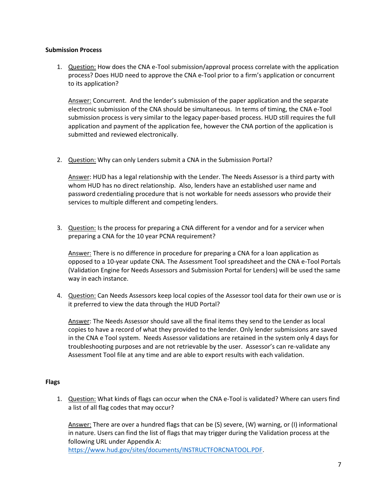#### <span id="page-8-0"></span>**Submission Process**

1. Question: How does the CNA e-Tool submission/approval process correlate with the application process? Does HUD need to approve the CNA e-Tool prior to a firm's application or concurrent to its application?

Answer: Concurrent. And the lender's submission of the paper application and the separate electronic submission of the CNA should be simultaneous. In terms of timing, the CNA e-Tool submission process is very similar to the legacy paper-based process. HUD still requires the full application and payment of the application fee, however the CNA portion of the application is submitted and reviewed electronically.

2. Question: Why can only Lenders submit a CNA in the Submission Portal?

Answer: HUD has a legal relationship with the Lender. The Needs Assessor is a third party with whom HUD has no direct relationship. Also, lenders have an established user name and password credentialing procedure that is not workable for needs assessors who provide their services to multiple different and competing lenders.

3. Question: Is the process for preparing a CNA different for a vendor and for a servicer when preparing a CNA for the 10 year PCNA requirement?

Answer: There is no difference in procedure for preparing a CNA for a loan application as opposed to a 10-year update CNA. The Assessment Tool spreadsheet and the CNA e-Tool Portals (Validation Engine for Needs Assessors and Submission Portal for Lenders) will be used the same way in each instance.

4. Question: Can Needs Assessors keep local copies of the Assessor tool data for their own use or is it preferred to view the data through the HUD Portal?

Answer: The Needs Assessor should save all the final items they send to the Lender as local copies to have a record of what they provided to the lender. Only lender submissions are saved in the CNA e Tool system. Needs Assessor validations are retained in the system only 4 days for troubleshooting purposes and are not retrievable by the user. Assessor's can re-validate any Assessment Tool file at any time and are able to export results with each validation.

#### <span id="page-8-1"></span>**Flags**

1. Question: What kinds of flags can occur when the CNA e-Tool is validated? Where can users find a list of all flag codes that may occur?

Answer: There are over a hundred flags that can be (S) severe, (W) warning, or (I) informational in nature. Users can find the list of flags that may trigger during the Validation process at the following URL under Appendix A:

[https://www.hud.gov/sites/documents/INSTRUCTFORCNATOOL.PDF.](https://www.hud.gov/sites/documents/INSTRUCTFORCNATOOL.PDF)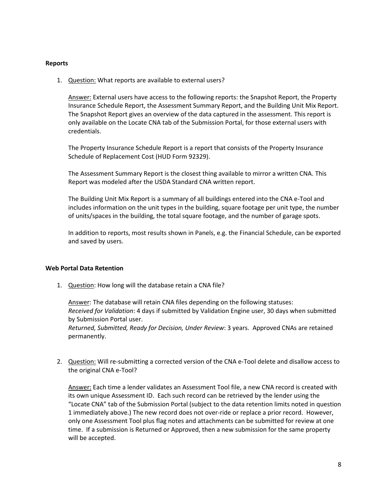#### <span id="page-9-0"></span>**Reports**

1. Question: What reports are available to external users?

Answer: External users have access to the following reports: the Snapshot Report, the Property Insurance Schedule Report, the Assessment Summary Report, and the Building Unit Mix Report. The Snapshot Report gives an overview of the data captured in the assessment. This report is only available on the Locate CNA tab of the Submission Portal, for those external users with credentials.

The Property Insurance Schedule Report is a report that consists of the Property Insurance Schedule of Replacement Cost (HUD Form 92329).

The Assessment Summary Report is the closest thing available to mirror a written CNA. This Report was modeled after the USDA Standard CNA written report.

The Building Unit Mix Report is a summary of all buildings entered into the CNA e-Tool and includes information on the unit types in the building, square footage per unit type, the number of units/spaces in the building, the total square footage, and the number of garage spots.

In addition to reports, most results shown in Panels, e.g. the Financial Schedule, can be exported and saved by users.

#### <span id="page-9-1"></span>**Web Portal Data Retention**

1. Question: How long will the database retain a CNA file?

Answer: The database will retain CNA files depending on the following statuses: *Received for Validation*: 4 days if submitted by Validation Engine user, 30 days when submitted by Submission Portal user.

*Returned, Submitted, Ready for Decision, Under Review*: 3 years. Approved CNAs are retained permanently.

2. Question: Will re-submitting a corrected version of the CNA e-Tool delete and disallow access to the original CNA e-Tool?

Answer: Each time a lender validates an Assessment Tool file, a new CNA record is created with its own unique Assessment ID. Each such record can be retrieved by the lender using the "Locate CNA" tab of the Submission Portal (subject to the data retention limits noted in question 1 immediately above.) The new record does not over-ride or replace a prior record. However, only one Assessment Tool plus flag notes and attachments can be submitted for review at one time. If a submission is Returned or Approved, then a new submission for the same property will be accepted.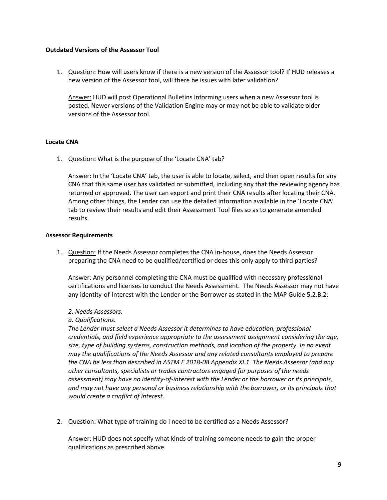#### <span id="page-10-0"></span>**Outdated Versions of the Assessor Tool**

1. Question: How will users know if there is a new version of the Assessor tool? If HUD releases a new version of the Assessor tool, will there be issues with later validation?

Answer: HUD will post Operational Bulletins informing users when a new Assessor tool is posted. Newer versions of the Validation Engine may or may not be able to validate older versions of the Assessor tool.

#### <span id="page-10-1"></span>**Locate CNA**

1. Question: What is the purpose of the 'Locate CNA' tab?

Answer: In the 'Locate CNA' tab, the user is able to locate, select, and then open results for any CNA that this same user has validated or submitted, including any that the reviewing agency has returned or approved. The user can export and print their CNA results after locating their CNA. Among other things, the Lender can use the detailed information available in the 'Locate CNA' tab to review their results and edit their Assessment Tool files so as to generate amended results.

#### <span id="page-10-2"></span>**Assessor Requirements**

1. Question: If the Needs Assessor completes the CNA in-house, does the Needs Assessor preparing the CNA need to be qualified/certified or does this only apply to third parties?

Answer: Any personnel completing the CNA must be qualified with necessary professional certifications and licenses to conduct the Needs Assessment. The Needs Assessor may not have any identity-of-interest with the Lender or the Borrower as stated in the MAP Guide 5.2.B.2:

#### *2. Needs Assessors.*

#### *a. Qualifications.*

*The Lender must select a Needs Assessor it determines to have education, professional credentials, and field experience appropriate to the assessment assignment considering the age, size, type of building systems, construction methods, and location of the property. In no event may the qualifications of the Needs Assessor and any related consultants employed to prepare the CNA be less than described in ASTM E 2018-08 Appendix XI.1. The Needs Assessor (and any other consultants, specialists or trades contractors engaged for purposes of the needs assessment) may have no identity-of-interest with the Lender or the borrower or its principals, and may not have any personal or business relationship with the borrower, or its principals that would create a conflict of interest.* 

2. Question: What type of training do I need to be certified as a Needs Assessor?

Answer: HUD does not specify what kinds of training someone needs to gain the proper qualifications as prescribed above.